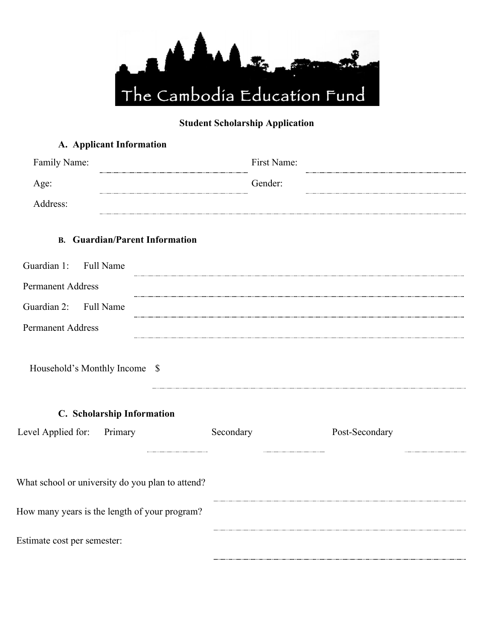

## **Student Scholarship Application**

|                               | A. Applicant Information                         |             |                |
|-------------------------------|--------------------------------------------------|-------------|----------------|
| Family Name:                  |                                                  | First Name: |                |
| Age:                          |                                                  | Gender:     |                |
| Address:                      |                                                  |             |                |
|                               | <b>B.</b> Guardian/Parent Information            |             |                |
| Guardian 1: Full Name         |                                                  |             |                |
| <b>Permanent Address</b>      |                                                  |             |                |
| Guardian 2: Full Name         |                                                  |             |                |
| <b>Permanent Address</b>      |                                                  |             |                |
| Household's Monthly Income \$ |                                                  |             |                |
|                               | C. Scholarship Information                       |             |                |
| Level Applied for: Primary    |                                                  | Secondary   | Post-Secondary |
|                               | What school or university do you plan to attend? |             |                |
|                               | How many years is the length of your program?    |             |                |
| Estimate cost per semester:   |                                                  |             |                |